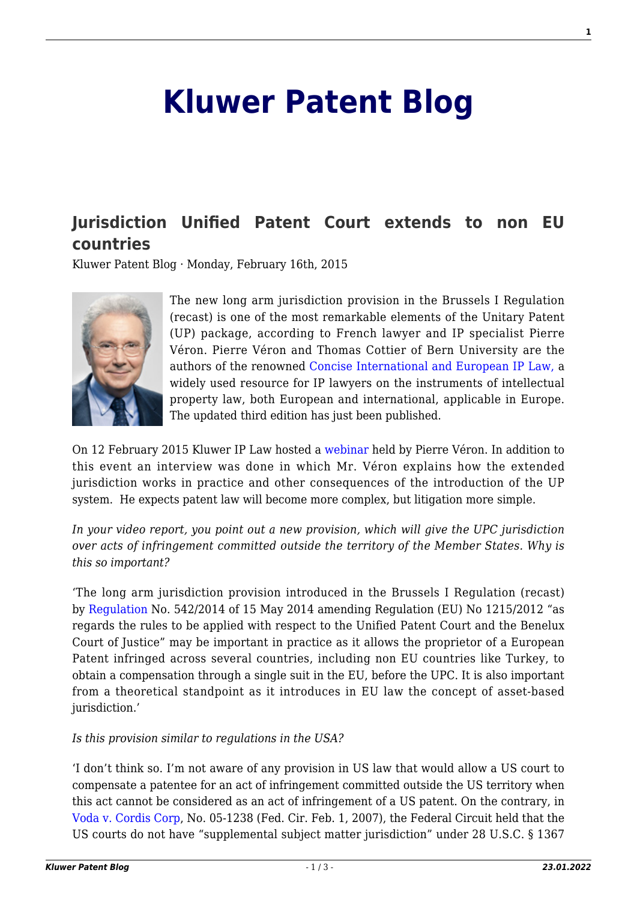## **[Kluwer Patent Blog](http://patentblog.kluweriplaw.com/)**

## **[Jurisdiction Unified Patent Court extends to non EU](http://patentblog.kluweriplaw.com/2015/02/16/jurisdiction-unified-patent-court-extends-to-non-eu-countries/) [countries](http://patentblog.kluweriplaw.com/2015/02/16/jurisdiction-unified-patent-court-extends-to-non-eu-countries/)**

Kluwer Patent Blog · Monday, February 16th, 2015



The new long arm jurisdiction provision in the Brussels I Regulation (recast) is one of the most remarkable elements of the Unitary Patent (UP) package, according to French lawyer and IP specialist Pierre Véron. Pierre Véron and Thomas Cottier of Bern University are the authors of the renowned [Concise International and European IP Law,](http://www.kluwerlaw.com/Catalogue/titleinfo.htm?wbc_purpose=basic?ProdID=904115230X&name=Concise-International-and-European-IP-Law.-TRIPS%2C-Paris-Convention%2C-European-Enforcement-and-Transfer-of-Technology---Third-Edition) a widely used resource for IP lawyers on the instruments of intellectual property law, both European and international, applicable in Europe. The updated third edition has just been published.

On 12 February 2015 Kluwer IP Law hosted a [webinar](https://www.youtube.com/watch?v=CZTxI4Zfk7w) held by Pierre Véron. In addition to this event an interview was done in which Mr. Véron explains how the extended jurisdiction works in practice and other consequences of the introduction of the UP system. He expects patent law will become more complex, but litigation more simple.

*In your video report, you point out a new provision, which will give the UPC jurisdiction over acts of infringement committed outside the territory of the Member States. Why is this so important?*

'The long arm jurisdiction provision introduced in the Brussels I Regulation (recast) by [Regulation](http://patentblog.kluweriplaw.com/wp-content/uploads/sites/52/2015/02/Regulation.pdf) No. 542/2014 of 15 May 2014 amending Regulation (EU) No 1215/2012 "as regards the rules to be applied with respect to the Unified Patent Court and the Benelux Court of Justice" may be important in practice as it allows the proprietor of a European Patent infringed across several countries, including non EU countries like Turkey, to obtain a compensation through a single suit in the EU, before the UPC. It is also important from a theoretical standpoint as it introduces in EU law the concept of asset-based jurisdiction.'

## *Is this provision similar to regulations in the USA?*

'I don't think so. I'm not aware of any provision in US law that would allow a US court to compensate a patentee for an act of infringement committed outside the US territory when this act cannot be considered as an act of infringement of a US patent. On the contrary, in [Voda v. Cordis Corp,](http://patentblog.kluweriplaw.com/wp-content/uploads/sites/52/2015/02/Voda-v.-Cordis-Corp.pdf) No. 05-1238 (Fed. Cir. Feb. 1, 2007), the Federal Circuit held that the US courts do not have "supplemental subject matter jurisdiction" under 28 U.S.C. § 1367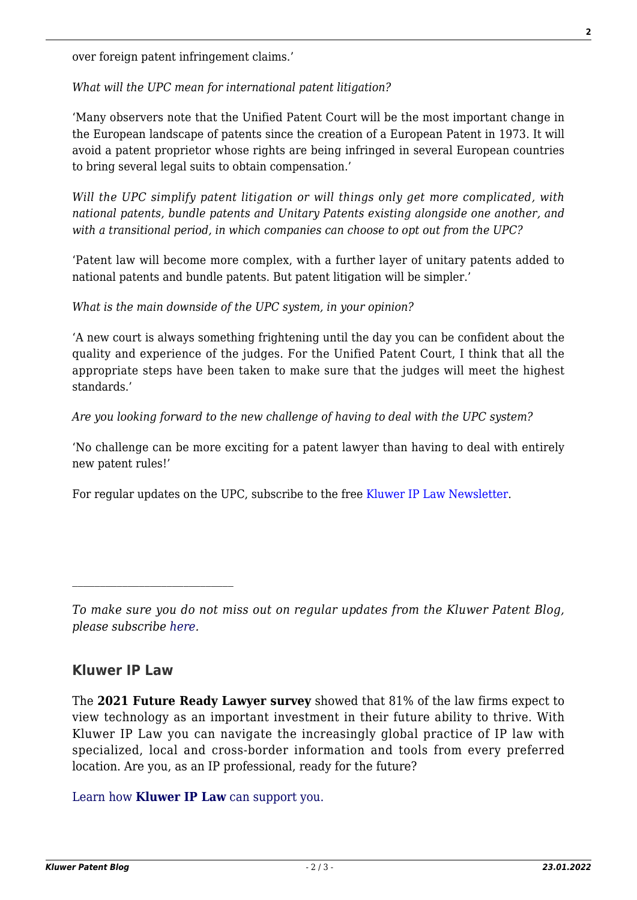over foreign patent infringement claims.'

*What will the UPC mean for international patent litigation?*

'Many observers note that the Unified Patent Court will be the most important change in the European landscape of patents since the creation of a European Patent in 1973. It will avoid a patent proprietor whose rights are being infringed in several European countries to bring several legal suits to obtain compensation.'

*Will the UPC simplify patent litigation or will things only get more complicated, with national patents, bundle patents and Unitary Patents existing alongside one another, and with a transitional period, in which companies can choose to opt out from the UPC?*

'Patent law will become more complex, with a further layer of unitary patents added to national patents and bundle patents. But patent litigation will be simpler.'

*What is the main downside of the UPC system, in your opinion?*

'A new court is always something frightening until the day you can be confident about the quality and experience of the judges. For the Unified Patent Court, I think that all the appropriate steps have been taken to make sure that the judges will meet the highest standards.'

*Are you looking forward to the new challenge of having to deal with the UPC system?*

'No challenge can be more exciting for a patent lawyer than having to deal with entirely new patent rules!'

For regular updates on the UPC, subscribe to the free [Kluwer IP Law Newsletter.](http://webforms.kluwerlawonline.com/genons/toepassingen/kli/arbitration_website/subscribe.asp?prodcode=KIPL)

## **Kluwer IP Law**

The **2021 Future Ready Lawyer survey** showed that 81% of the law firms expect to view technology as an important investment in their future ability to thrive. With Kluwer IP Law you can navigate the increasingly global practice of IP law with specialized, local and cross-border information and tools from every preferred location. Are you, as an IP professional, ready for the future?

[Learn how](https://www.wolterskluwer.com/en/solutions/kluweriplaw?utm_source=patentblog&utm_medium=articleCTA&utm_campaign=article-banner) **[Kluwer IP Law](https://www.wolterskluwer.com/en/solutions/kluweriplaw?utm_source=patentblog&utm_medium=articleCTA&utm_campaign=article-banner)** [can support you.](https://www.wolterskluwer.com/en/solutions/kluweriplaw?utm_source=patentblog&utm_medium=articleCTA&utm_campaign=article-banner)

*To make sure you do not miss out on regular updates from the Kluwer Patent Blog, please subscribe [here.](http://patentblog.kluweriplaw.com/newsletter)*